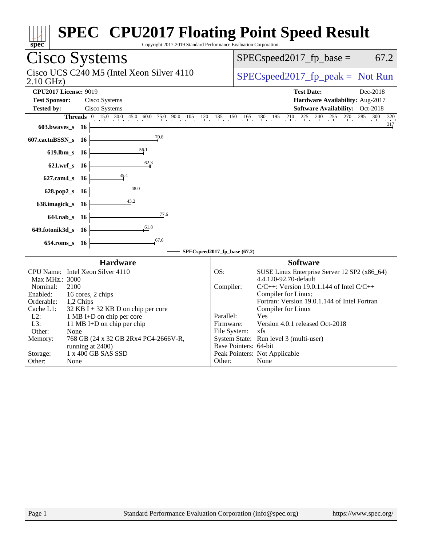| spec <sup>®</sup>                                                                                           | <b>SPEC<sup>®</sup> CPU2017 Floating Point Speed Result</b><br>Copyright 2017-2019 Standard Performance Evaluation Corporation |
|-------------------------------------------------------------------------------------------------------------|--------------------------------------------------------------------------------------------------------------------------------|
| Cisco Systems                                                                                               | $SPEC speed2017_fp\_base =$<br>67.2                                                                                            |
| Cisco UCS C240 M5 (Intel Xeon Silver 4110<br>2.10 GHz)                                                      | $SPEC speed2017fr peak = Not Run$                                                                                              |
| <b>CPU2017 License: 9019</b><br><b>Test Sponsor:</b><br>Cisco Systems<br>Cisco Systems<br><b>Tested by:</b> | <b>Test Date:</b><br>Dec-2018<br>Hardware Availability: Aug-2017<br>Software Availability: Oct-2018                            |
| <b>Threads</b> 0 15.0 30.0 45.0 60.0 75.0 90.0 105 120 135 150 165<br>$603.bwaves$ 16                       | $\frac{285}{1}$<br>$180 \t195 \t210 \t225 \t240 \t25 \t270$<br>300<br>$\frac{320}{317}$                                        |
| 70.8<br>607.cactuBSSN_s 16                                                                                  |                                                                                                                                |
| 56.1<br>619.lbm_s 16                                                                                        |                                                                                                                                |
| 62.3<br>621.wrf_s 16                                                                                        |                                                                                                                                |
| 35.4<br>$627$ .cam $4$ _s<br>- 16                                                                           |                                                                                                                                |
| 48.0<br>628.pop2_s<br>- 16                                                                                  |                                                                                                                                |
| 638.imagick_s 16                                                                                            |                                                                                                                                |
| 77.6<br>644.nab_s 16                                                                                        |                                                                                                                                |
| 61,8<br>649.fotonik3d_s 16                                                                                  |                                                                                                                                |
| 67.6<br>654.roms_s 16                                                                                       | SPECspeed2017_fp_base (67.2)                                                                                                   |
| <b>Hardware</b>                                                                                             | <b>Software</b>                                                                                                                |
| CPU Name: Intel Xeon Silver 4110                                                                            | OS:<br>SUSE Linux Enterprise Server 12 SP2 (x86_64)<br>4.4.120-92.70-default                                                   |
| Max MHz.: 3000<br>Nominal:<br>2100                                                                          | Compiler:<br>$C/C++$ : Version 19.0.1.144 of Intel $C/C++$                                                                     |
| Enabled:<br>16 cores, 2 chips<br>Orderable:<br>1,2 Chips                                                    | Compiler for Linux;<br>Fortran: Version 19.0.1.144 of Intel Fortran                                                            |
| Cache L1:<br>$32$ KB I + 32 KB D on chip per core<br>$L2$ :<br>1 MB I+D on chip per core                    | Compiler for Linux<br>Yes<br>Parallel:                                                                                         |
| L3:<br>11 MB I+D on chip per chip<br>Other:<br>None                                                         | Version 4.0.1 released Oct-2018<br>Firmware:<br>File System:<br>xfs.                                                           |
| Memory:<br>768 GB (24 x 32 GB 2Rx4 PC4-2666V-R,                                                             | System State: Run level 3 (multi-user)                                                                                         |
| running at 2400)<br>Storage:<br>1 x 400 GB SAS SSD                                                          | Base Pointers: 64-bit<br>Peak Pointers: Not Applicable                                                                         |
| Other:<br>None                                                                                              | Other:<br>None                                                                                                                 |
|                                                                                                             |                                                                                                                                |
| Page 1                                                                                                      | Standard Performance Evaluation Corporation (info@spec.org)<br>https://www.spec.org/                                           |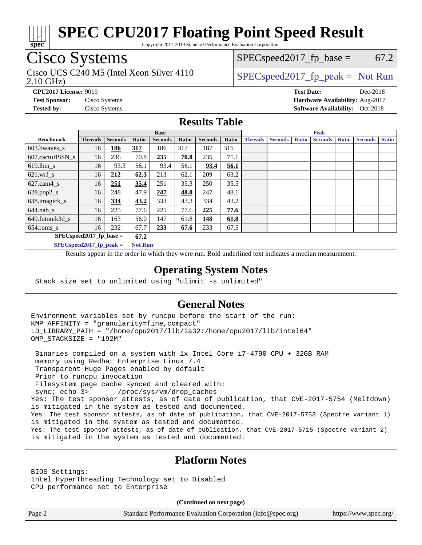

Copyright 2017-2019 Standard Performance Evaluation Corporation

## Cisco Systems

2.10 GHz) Cisco UCS C240 M5 (Intel Xeon Silver 4110  $\big|$  SPECspeed 2017 fp peak = Not Run

 $SPEC speed2017_fp\_base = 67.2$ 

**[CPU2017 License:](http://www.spec.org/auto/cpu2017/Docs/result-fields.html#CPU2017License)** 9019 **[Test Date:](http://www.spec.org/auto/cpu2017/Docs/result-fields.html#TestDate)** Dec-2018 **[Test Sponsor:](http://www.spec.org/auto/cpu2017/Docs/result-fields.html#TestSponsor)** Cisco Systems **[Hardware Availability:](http://www.spec.org/auto/cpu2017/Docs/result-fields.html#HardwareAvailability)** Aug-2017 **[Tested by:](http://www.spec.org/auto/cpu2017/Docs/result-fields.html#Testedby)** Cisco Systems **Cisco Systems [Software Availability:](http://www.spec.org/auto/cpu2017/Docs/result-fields.html#SoftwareAvailability)** Oct-2018

### **[Results Table](http://www.spec.org/auto/cpu2017/Docs/result-fields.html#ResultsTable)**

|                            | <b>Base</b>    |                |            |                |       |                | <b>Peak</b> |                |                |              |                |              |                |              |
|----------------------------|----------------|----------------|------------|----------------|-------|----------------|-------------|----------------|----------------|--------------|----------------|--------------|----------------|--------------|
| <b>Benchmark</b>           | <b>Threads</b> | <b>Seconds</b> | Ratio      | <b>Seconds</b> | Ratio | <b>Seconds</b> | Ratio       | <b>Threads</b> | <b>Seconds</b> | <b>Ratio</b> | <b>Seconds</b> | <b>Ratio</b> | <b>Seconds</b> | <b>Ratio</b> |
| 603.bwayes s               | 16             | 186            | <u>317</u> | 186            | 317   | 187            | 315         |                |                |              |                |              |                |              |
| 607.cactuBSSN s            | 16             | 236            | 70.8       | 235            | 70.8  | 235            | 71.1        |                |                |              |                |              |                |              |
| $619.$ lbm_s               | 16             | 93.3           | 56.1       | 93.4           | 56.1  | 93.4           | 56.1        |                |                |              |                |              |                |              |
| $621.wrf$ s                | 16             | 212            | 62.3       | 213            | 62.1  | 209            | 63.2        |                |                |              |                |              |                |              |
| $627$ .cam4 s              | 16             | <u>251</u>     | 35.4       | 251            | 35.3  | 250            | 35.5        |                |                |              |                |              |                |              |
| $628.pop2_s$               | 16             | 248            | 47.9       | 247            | 48.0  | 247            | 48.1        |                |                |              |                |              |                |              |
| 638.imagick_s              | 16             | 334            | 43.2       | 333            | 43.3  | 334            | 43.2        |                |                |              |                |              |                |              |
| $644$ .nab s               | 16             | 225            | 77.6       | 225            | 77.6  | 225            | 77.6        |                |                |              |                |              |                |              |
| 649.fotonik3d s            | 16             | 163            | 56.0       | 147            | 61.8  | 148            | 61.8        |                |                |              |                |              |                |              |
| $654$ .roms s              | 16             | 232            | 67.7       | 233            | 67.6  | 233            | 67.5        |                |                |              |                |              |                |              |
| $SPEC speed2017$ fp base = |                |                | 67.2       |                |       |                |             |                |                |              |                |              |                |              |
| SPECspeed 2017 fp peak $=$ |                |                |            | <b>Not Run</b> |       |                |             |                |                |              |                |              |                |              |

Results appear in the [order in which they were run.](http://www.spec.org/auto/cpu2017/Docs/result-fields.html#RunOrder) Bold underlined text [indicates a median measurement](http://www.spec.org/auto/cpu2017/Docs/result-fields.html#Median).

### **[Operating System Notes](http://www.spec.org/auto/cpu2017/Docs/result-fields.html#OperatingSystemNotes)**

Stack size set to unlimited using "ulimit -s unlimited"

### **[General Notes](http://www.spec.org/auto/cpu2017/Docs/result-fields.html#GeneralNotes)**

Environment variables set by runcpu before the start of the run: KMP\_AFFINITY = "granularity=fine,compact" LD\_LIBRARY\_PATH = "/home/cpu2017/lib/ia32:/home/cpu2017/lib/intel64" OMP\_STACKSIZE = "192M"

 Binaries compiled on a system with 1x Intel Core i7-4790 CPU + 32GB RAM memory using Redhat Enterprise Linux 7.4 Transparent Huge Pages enabled by default Prior to runcpu invocation Filesystem page cache synced and cleared with: sync; echo 3> /proc/sys/vm/drop\_caches Yes: The test sponsor attests, as of date of publication, that CVE-2017-5754 (Meltdown) is mitigated in the system as tested and documented. Yes: The test sponsor attests, as of date of publication, that CVE-2017-5753 (Spectre variant 1) is mitigated in the system as tested and documented. Yes: The test sponsor attests, as of date of publication, that CVE-2017-5715 (Spectre variant 2) is mitigated in the system as tested and documented.

### **[Platform Notes](http://www.spec.org/auto/cpu2017/Docs/result-fields.html#PlatformNotes)**

BIOS Settings: Intel HyperThreading Technology set to Disabled CPU performance set to Enterprise

**(Continued on next page)**

Page 2 Standard Performance Evaluation Corporation [\(info@spec.org\)](mailto:info@spec.org) <https://www.spec.org/>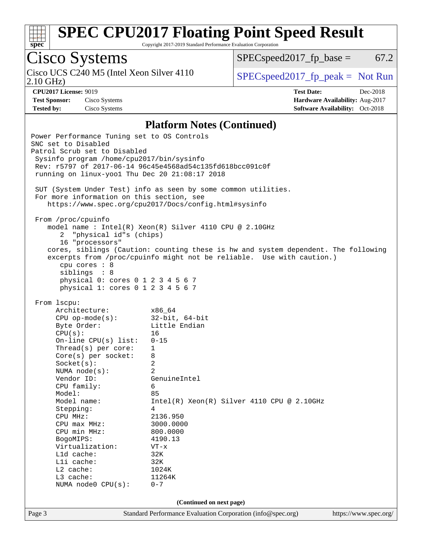

Copyright 2017-2019 Standard Performance Evaluation Corporation

# Cisco Systems

Cisco UCS C240 M5 (Intel Xeon Silver 4110<br>2.10 GHz)

 $SPEC speed2017_fp\_base = 67.2$ 

 $SPEC speed2017_fp\_peak = Not Run$ 

**[CPU2017 License:](http://www.spec.org/auto/cpu2017/Docs/result-fields.html#CPU2017License)** 9019 **[Test Date:](http://www.spec.org/auto/cpu2017/Docs/result-fields.html#TestDate)** Dec-2018 **[Test Sponsor:](http://www.spec.org/auto/cpu2017/Docs/result-fields.html#TestSponsor)** Cisco Systems **[Hardware Availability:](http://www.spec.org/auto/cpu2017/Docs/result-fields.html#HardwareAvailability)** Aug-2017 **[Tested by:](http://www.spec.org/auto/cpu2017/Docs/result-fields.html#Testedby)** Cisco Systems **[Software Availability:](http://www.spec.org/auto/cpu2017/Docs/result-fields.html#SoftwareAvailability)** Oct-2018

### **[Platform Notes \(Continued\)](http://www.spec.org/auto/cpu2017/Docs/result-fields.html#PlatformNotes)**

Page 3 Standard Performance Evaluation Corporation [\(info@spec.org\)](mailto:info@spec.org) <https://www.spec.org/> Power Performance Tuning set to OS Controls SNC set to Disabled Patrol Scrub set to Disabled Sysinfo program /home/cpu2017/bin/sysinfo Rev: r5797 of 2017-06-14 96c45e4568ad54c135fd618bcc091c0f running on linux-yoo1 Thu Dec 20 21:08:17 2018 SUT (System Under Test) info as seen by some common utilities. For more information on this section, see <https://www.spec.org/cpu2017/Docs/config.html#sysinfo> From /proc/cpuinfo model name : Intel(R) Xeon(R) Silver 4110 CPU @ 2.10GHz 2 "physical id"s (chips) 16 "processors" cores, siblings (Caution: counting these is hw and system dependent. The following excerpts from /proc/cpuinfo might not be reliable. Use with caution.) cpu cores : 8 siblings : 8 physical 0: cores 0 1 2 3 4 5 6 7 physical 1: cores 0 1 2 3 4 5 6 7 From lscpu: Architecture: x86\_64 CPU op-mode(s): 32-bit, 64-bit Byte Order: Little Endian CPU(s): 16 On-line CPU(s) list: 0-15 Thread(s) per core: 1 Core(s) per socket: 8 Socket(s): 2 NUMA node(s): 2 Vendor ID: GenuineIntel CPU family: 6 Model: 85 Model name: Intel(R) Xeon(R) Silver 4110 CPU @ 2.10GHz Stepping: 4 CPU MHz: 2136.950 CPU max MHz: 3000.0000 CPU min MHz: 800.0000 BogoMIPS: 4190.13 Virtualization: VT-x L1d cache: 32K L1i cache: 32K L2 cache: 1024K L3 cache: 11264K NUMA node0 CPU(s): 0-7 **(Continued on next page)**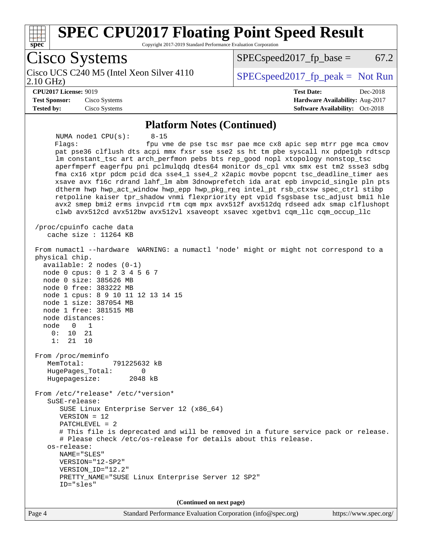

**(Continued on next page)**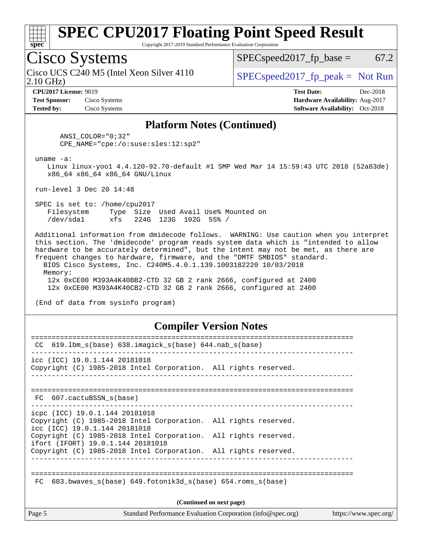

Copyright 2017-2019 Standard Performance Evaluation Corporation

## Cisco Systems

2.10 GHz) Cisco UCS C240 M5 (Intel Xeon Silver 4110  $\big|$  SPECspeed 2017 fp peak = Not Run

 $SPEC speed2017_fp\_base = 67.2$ 

**[Test Sponsor:](http://www.spec.org/auto/cpu2017/Docs/result-fields.html#TestSponsor)** Cisco Systems **[Hardware Availability:](http://www.spec.org/auto/cpu2017/Docs/result-fields.html#HardwareAvailability)** Aug-2017 **[Tested by:](http://www.spec.org/auto/cpu2017/Docs/result-fields.html#Testedby)** Cisco Systems **Cisco Systems [Software Availability:](http://www.spec.org/auto/cpu2017/Docs/result-fields.html#SoftwareAvailability)** Oct-2018

**[CPU2017 License:](http://www.spec.org/auto/cpu2017/Docs/result-fields.html#CPU2017License)** 9019 **[Test Date:](http://www.spec.org/auto/cpu2017/Docs/result-fields.html#TestDate)** Dec-2018

### **[Platform Notes \(Continued\)](http://www.spec.org/auto/cpu2017/Docs/result-fields.html#PlatformNotes)**

 ANSI\_COLOR="0;32" CPE\_NAME="cpe:/o:suse:sles:12:sp2"

uname -a:

 Linux linux-yoo1 4.4.120-92.70-default #1 SMP Wed Mar 14 15:59:43 UTC 2018 (52a83de) x86\_64 x86\_64 x86\_64 GNU/Linux

run-level 3 Dec 20 14:48

 SPEC is set to: /home/cpu2017 Filesystem Type Size Used Avail Use% Mounted on /dev/sda1 xfs 224G 123G 102G 55% /

 Additional information from dmidecode follows. WARNING: Use caution when you interpret this section. The 'dmidecode' program reads system data which is "intended to allow hardware to be accurately determined", but the intent may not be met, as there are frequent changes to hardware, firmware, and the "DMTF SMBIOS" standard. BIOS Cisco Systems, Inc. C240M5.4.0.1.139.1003182220 10/03/2018 Memory:

 12x 0xCE00 M393A4K40BB2-CTD 32 GB 2 rank 2666, configured at 2400 12x 0xCE00 M393A4K40CB2-CTD 32 GB 2 rank 2666, configured at 2400

(End of data from sysinfo program)

### **[Compiler Version Notes](http://www.spec.org/auto/cpu2017/Docs/result-fields.html#CompilerVersionNotes)**

| CC.                                                             | $619.1$ bm s(base) $638.i$ maqick s(base) $644.nab$ s(base)                                                                        |                       |  |  |  |
|-----------------------------------------------------------------|------------------------------------------------------------------------------------------------------------------------------------|-----------------------|--|--|--|
|                                                                 | icc (ICC) 19.0.1.144 20181018<br>Copyright (C) 1985-2018 Intel Corporation. All rights reserved.                                   |                       |  |  |  |
|                                                                 | FC 607.cactuBSSN s(base)<br>--------------------------------                                                                       |                       |  |  |  |
|                                                                 | icpc (ICC) 19.0.1.144 20181018<br>Copyright (C) 1985-2018 Intel Corporation. All rights reserved.<br>icc (ICC) 19.0.1.144 20181018 |                       |  |  |  |
|                                                                 | Copyright (C) 1985-2018 Intel Corporation. All rights reserved.<br>ifort (IFORT) 19.0.1.144 20181018                               |                       |  |  |  |
|                                                                 | Copyright (C) 1985-2018 Intel Corporation. All rights reserved.                                                                    |                       |  |  |  |
| 603.bwaves s(base) 649.fotonik3d s(base) 654.roms s(base)<br>FC |                                                                                                                                    |                       |  |  |  |
| (Continued on next page)                                        |                                                                                                                                    |                       |  |  |  |
| Page 5                                                          | Standard Performance Evaluation Corporation (info@spec.org)                                                                        | https://www.spec.org/ |  |  |  |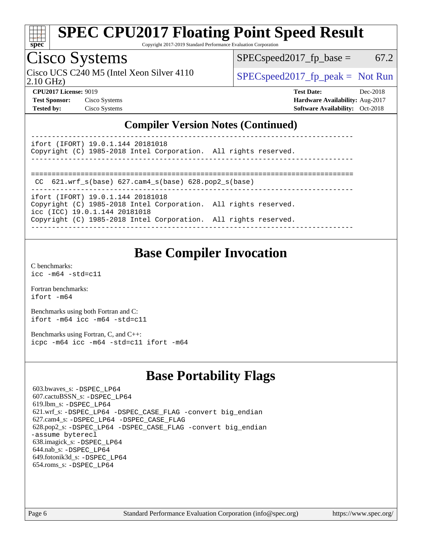

Copyright 2017-2019 Standard Performance Evaluation Corporation

## Cisco Systems

Cisco UCS C240 M5 (Intel Xeon Silver 4110  $\big|$  SPECspeed 2017 fp peak = Not Run

 $SPEC speed2017_fp\_base = 67.2$ 

2.10 GHz)

**[CPU2017 License:](http://www.spec.org/auto/cpu2017/Docs/result-fields.html#CPU2017License)** 9019 **[Test Date:](http://www.spec.org/auto/cpu2017/Docs/result-fields.html#TestDate)** Dec-2018 **[Test Sponsor:](http://www.spec.org/auto/cpu2017/Docs/result-fields.html#TestSponsor)** Cisco Systems **[Hardware Availability:](http://www.spec.org/auto/cpu2017/Docs/result-fields.html#HardwareAvailability)** Aug-2017 **[Tested by:](http://www.spec.org/auto/cpu2017/Docs/result-fields.html#Testedby)** Cisco Systems **[Software Availability:](http://www.spec.org/auto/cpu2017/Docs/result-fields.html#SoftwareAvailability)** Oct-2018

### **[Compiler Version Notes \(Continued\)](http://www.spec.org/auto/cpu2017/Docs/result-fields.html#CompilerVersionNotes)**

----------------------------------------------------------------------------- ifort (IFORT) 19.0.1.144 20181018

Copyright (C) 1985-2018 Intel Corporation. All rights reserved. ------------------------------------------------------------------------------

```
==============================================================================
```
CC 621.wrf\_s(base) 627.cam4\_s(base) 628.pop2\_s(base)

----------------------------------------------------------------------------- ifort (IFORT) 19.0.1.144 20181018 Copyright (C) 1985-2018 Intel Corporation. All rights reserved. icc (ICC) 19.0.1.144 20181018 Copyright (C) 1985-2018 Intel Corporation. All rights reserved.

------------------------------------------------------------------------------

### **[Base Compiler Invocation](http://www.spec.org/auto/cpu2017/Docs/result-fields.html#BaseCompilerInvocation)**

[C benchmarks](http://www.spec.org/auto/cpu2017/Docs/result-fields.html#Cbenchmarks): [icc -m64 -std=c11](http://www.spec.org/cpu2017/results/res2019q1/cpu2017-20190108-10637.flags.html#user_CCbase_intel_icc_64bit_c11_33ee0cdaae7deeeab2a9725423ba97205ce30f63b9926c2519791662299b76a0318f32ddfffdc46587804de3178b4f9328c46fa7c2b0cd779d7a61945c91cd35)

[Fortran benchmarks](http://www.spec.org/auto/cpu2017/Docs/result-fields.html#Fortranbenchmarks): [ifort -m64](http://www.spec.org/cpu2017/results/res2019q1/cpu2017-20190108-10637.flags.html#user_FCbase_intel_ifort_64bit_24f2bb282fbaeffd6157abe4f878425411749daecae9a33200eee2bee2fe76f3b89351d69a8130dd5949958ce389cf37ff59a95e7a40d588e8d3a57e0c3fd751)

[Benchmarks using both Fortran and C](http://www.spec.org/auto/cpu2017/Docs/result-fields.html#BenchmarksusingbothFortranandC): [ifort -m64](http://www.spec.org/cpu2017/results/res2019q1/cpu2017-20190108-10637.flags.html#user_CC_FCbase_intel_ifort_64bit_24f2bb282fbaeffd6157abe4f878425411749daecae9a33200eee2bee2fe76f3b89351d69a8130dd5949958ce389cf37ff59a95e7a40d588e8d3a57e0c3fd751) [icc -m64 -std=c11](http://www.spec.org/cpu2017/results/res2019q1/cpu2017-20190108-10637.flags.html#user_CC_FCbase_intel_icc_64bit_c11_33ee0cdaae7deeeab2a9725423ba97205ce30f63b9926c2519791662299b76a0318f32ddfffdc46587804de3178b4f9328c46fa7c2b0cd779d7a61945c91cd35)

[Benchmarks using Fortran, C, and C++:](http://www.spec.org/auto/cpu2017/Docs/result-fields.html#BenchmarksusingFortranCandCXX) [icpc -m64](http://www.spec.org/cpu2017/results/res2019q1/cpu2017-20190108-10637.flags.html#user_CC_CXX_FCbase_intel_icpc_64bit_4ecb2543ae3f1412ef961e0650ca070fec7b7afdcd6ed48761b84423119d1bf6bdf5cad15b44d48e7256388bc77273b966e5eb805aefd121eb22e9299b2ec9d9) [icc -m64 -std=c11](http://www.spec.org/cpu2017/results/res2019q1/cpu2017-20190108-10637.flags.html#user_CC_CXX_FCbase_intel_icc_64bit_c11_33ee0cdaae7deeeab2a9725423ba97205ce30f63b9926c2519791662299b76a0318f32ddfffdc46587804de3178b4f9328c46fa7c2b0cd779d7a61945c91cd35) [ifort -m64](http://www.spec.org/cpu2017/results/res2019q1/cpu2017-20190108-10637.flags.html#user_CC_CXX_FCbase_intel_ifort_64bit_24f2bb282fbaeffd6157abe4f878425411749daecae9a33200eee2bee2fe76f3b89351d69a8130dd5949958ce389cf37ff59a95e7a40d588e8d3a57e0c3fd751)

## **[Base Portability Flags](http://www.spec.org/auto/cpu2017/Docs/result-fields.html#BasePortabilityFlags)**

 603.bwaves\_s: [-DSPEC\\_LP64](http://www.spec.org/cpu2017/results/res2019q1/cpu2017-20190108-10637.flags.html#suite_basePORTABILITY603_bwaves_s_DSPEC_LP64) 607.cactuBSSN\_s: [-DSPEC\\_LP64](http://www.spec.org/cpu2017/results/res2019q1/cpu2017-20190108-10637.flags.html#suite_basePORTABILITY607_cactuBSSN_s_DSPEC_LP64) 619.lbm\_s: [-DSPEC\\_LP64](http://www.spec.org/cpu2017/results/res2019q1/cpu2017-20190108-10637.flags.html#suite_basePORTABILITY619_lbm_s_DSPEC_LP64) 621.wrf\_s: [-DSPEC\\_LP64](http://www.spec.org/cpu2017/results/res2019q1/cpu2017-20190108-10637.flags.html#suite_basePORTABILITY621_wrf_s_DSPEC_LP64) [-DSPEC\\_CASE\\_FLAG](http://www.spec.org/cpu2017/results/res2019q1/cpu2017-20190108-10637.flags.html#b621.wrf_s_baseCPORTABILITY_DSPEC_CASE_FLAG) [-convert big\\_endian](http://www.spec.org/cpu2017/results/res2019q1/cpu2017-20190108-10637.flags.html#user_baseFPORTABILITY621_wrf_s_convert_big_endian_c3194028bc08c63ac5d04de18c48ce6d347e4e562e8892b8bdbdc0214820426deb8554edfa529a3fb25a586e65a3d812c835984020483e7e73212c4d31a38223) 627.cam4\_s: [-DSPEC\\_LP64](http://www.spec.org/cpu2017/results/res2019q1/cpu2017-20190108-10637.flags.html#suite_basePORTABILITY627_cam4_s_DSPEC_LP64) [-DSPEC\\_CASE\\_FLAG](http://www.spec.org/cpu2017/results/res2019q1/cpu2017-20190108-10637.flags.html#b627.cam4_s_baseCPORTABILITY_DSPEC_CASE_FLAG) 628.pop2\_s: [-DSPEC\\_LP64](http://www.spec.org/cpu2017/results/res2019q1/cpu2017-20190108-10637.flags.html#suite_basePORTABILITY628_pop2_s_DSPEC_LP64) [-DSPEC\\_CASE\\_FLAG](http://www.spec.org/cpu2017/results/res2019q1/cpu2017-20190108-10637.flags.html#b628.pop2_s_baseCPORTABILITY_DSPEC_CASE_FLAG) [-convert big\\_endian](http://www.spec.org/cpu2017/results/res2019q1/cpu2017-20190108-10637.flags.html#user_baseFPORTABILITY628_pop2_s_convert_big_endian_c3194028bc08c63ac5d04de18c48ce6d347e4e562e8892b8bdbdc0214820426deb8554edfa529a3fb25a586e65a3d812c835984020483e7e73212c4d31a38223) [-assume byterecl](http://www.spec.org/cpu2017/results/res2019q1/cpu2017-20190108-10637.flags.html#user_baseFPORTABILITY628_pop2_s_assume_byterecl_7e47d18b9513cf18525430bbf0f2177aa9bf368bc7a059c09b2c06a34b53bd3447c950d3f8d6c70e3faf3a05c8557d66a5798b567902e8849adc142926523472) 638.imagick\_s: [-DSPEC\\_LP64](http://www.spec.org/cpu2017/results/res2019q1/cpu2017-20190108-10637.flags.html#suite_basePORTABILITY638_imagick_s_DSPEC_LP64) 644.nab\_s: [-DSPEC\\_LP64](http://www.spec.org/cpu2017/results/res2019q1/cpu2017-20190108-10637.flags.html#suite_basePORTABILITY644_nab_s_DSPEC_LP64) 649.fotonik3d\_s: [-DSPEC\\_LP64](http://www.spec.org/cpu2017/results/res2019q1/cpu2017-20190108-10637.flags.html#suite_basePORTABILITY649_fotonik3d_s_DSPEC_LP64) 654.roms\_s: [-DSPEC\\_LP64](http://www.spec.org/cpu2017/results/res2019q1/cpu2017-20190108-10637.flags.html#suite_basePORTABILITY654_roms_s_DSPEC_LP64)